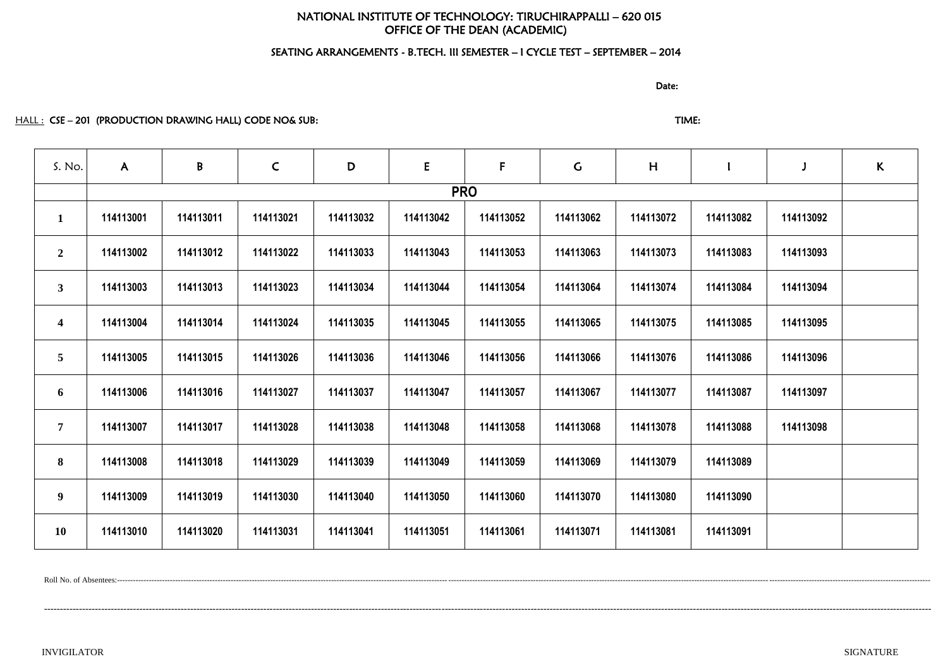# NATIONAL INSTITUTE OF TECHNOLOGY: TIRUCHIRAPPALLI – 620 015 OFFICE OF THE DEAN (ACADEMIC)

## SEATING ARRANGEMENTS - B.TECH. III SEMESTER – I CYCLE TEST – SEPTEMBER – 2014

discussion of the contract of the contract of the Date:

HALL : CSE – 201 (PRODUCTION DRAWING HALL) CODE NO& SUB: TIME: TIME: TIME:

| S. No.                  | $\mathsf{A}$ | B         | $\mathsf{C}$ | D         | E         | F          | $\mathsf C$ | H         |           |           | $\kappa$ |
|-------------------------|--------------|-----------|--------------|-----------|-----------|------------|-------------|-----------|-----------|-----------|----------|
|                         |              |           |              |           |           | <b>PRO</b> |             |           |           |           |          |
| $\mathbf{1}$            | 114113001    | 114113011 | 114113021    | 114113032 | 114113042 | 114113052  | 114113062   | 114113072 | 114113082 | 114113092 |          |
| $\boldsymbol{2}$        | 114113002    | 114113012 | 114113022    | 114113033 | 114113043 | 114113053  | 114113063   | 114113073 | 114113083 | 114113093 |          |
| 3 <sup>1</sup>          | 114113003    | 114113013 | 114113023    | 114113034 | 114113044 | 114113054  | 114113064   | 114113074 | 114113084 | 114113094 |          |
| $\overline{\mathbf{4}}$ | 114113004    | 114113014 | 114113024    | 114113035 | 114113045 | 114113055  | 114113065   | 114113075 | 114113085 | 114113095 |          |
| $5\overline{)}$         | 114113005    | 114113015 | 114113026    | 114113036 | 114113046 | 114113056  | 114113066   | 114113076 | 114113086 | 114113096 |          |
| 6                       | 114113006    | 114113016 | 114113027    | 114113037 | 114113047 | 114113057  | 114113067   | 114113077 | 114113087 | 114113097 |          |
| $\overline{7}$          | 114113007    | 114113017 | 114113028    | 114113038 | 114113048 | 114113058  | 114113068   | 114113078 | 114113088 | 114113098 |          |
| 8                       | 114113008    | 114113018 | 114113029    | 114113039 | 114113049 | 114113059  | 114113069   | 114113079 | 114113089 |           |          |
| 9                       | 114113009    | 114113019 | 114113030    | 114113040 | 114113050 | 114113060  | 114113070   | 114113080 | 114113090 |           |          |
| <b>10</b>               | 114113010    | 114113020 | 114113031    | 114113041 | 114113051 | 114113061  | 114113071   | 114113081 | 114113091 |           |          |

Roll No. of Absentees:-------------------------------------------------------------------------------------------------------------------------------------------------------------------------------------------------------------------------------------------------------------------------------------------------------------------

---------------------------------------------------------------------------------------------------------------------------------------------------------------------------------------------------------------------------------------------------------------------------------------

INVIGILATOR SIGNATURE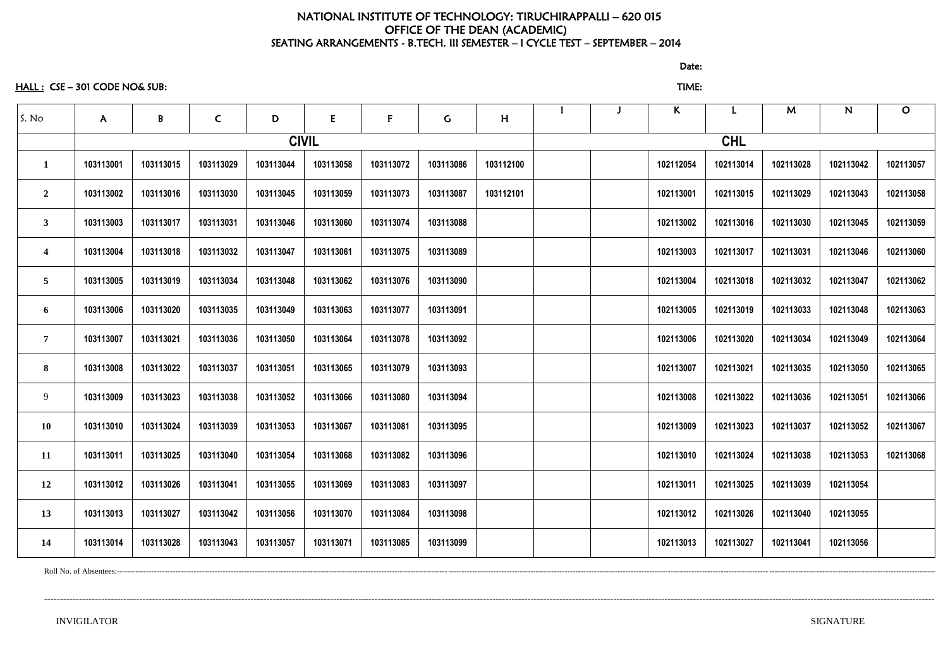### NATIONAL INSTITUTE OF TECHNOLOGY: TIRUCHIRAPPALLI – 620 015 OFFICE OF THE DEAN (ACADEMIC) SEATING ARRANGEMENTS - B.TECH. III SEMESTER – I CYCLE TEST – SEPTEMBER – 2014

HALL : CSE – 301 CODE NO& SUB: TIME:

discussion of the contract of the contract of the Date: the Contract of the Contract of the Contract of the Co

| S. No                   | $\mathsf{A}$ | $\pmb B$  | $\mathsf{C}$ | D            | E         | $\mathsf{F}$ | $\mathsf C$ | H         |  | $\mathsf{K}$ |            | M         | $\mathbf N$ | $\mathbf O$ |
|-------------------------|--------------|-----------|--------------|--------------|-----------|--------------|-------------|-----------|--|--------------|------------|-----------|-------------|-------------|
|                         |              |           |              | <b>CIVIL</b> |           |              |             |           |  |              | <b>CHL</b> |           |             |             |
|                         | 103113001    | 103113015 | 103113029    | 103113044    | 103113058 | 103113072    | 103113086   | 103112100 |  | 102112054    | 102113014  | 102113028 | 102113042   | 102113057   |
| $\boldsymbol{2}$        | 103113002    | 103113016 | 103113030    | 103113045    | 103113059 | 103113073    | 103113087   | 103112101 |  | 102113001    | 102113015  | 102113029 | 102113043   | 102113058   |
| $\mathbf{3}$            | 103113003    | 103113017 | 103113031    | 103113046    | 103113060 | 103113074    | 103113088   |           |  | 102113002    | 102113016  | 102113030 | 102113045   | 102113059   |
| $\overline{\mathbf{4}}$ | 103113004    | 103113018 | 103113032    | 103113047    | 103113061 | 103113075    | 103113089   |           |  | 102113003    | 102113017  | 102113031 | 102113046   | 102113060   |
| $\overline{5}$          | 103113005    | 103113019 | 103113034    | 103113048    | 103113062 | 103113076    | 103113090   |           |  | 102113004    | 102113018  | 102113032 | 102113047   | 102113062   |
| 6                       | 103113006    | 103113020 | 103113035    | 103113049    | 103113063 | 103113077    | 103113091   |           |  | 102113005    | 102113019  | 102113033 | 102113048   | 102113063   |
| $\overline{7}$          | 103113007    | 103113021 | 103113036    | 103113050    | 103113064 | 103113078    | 103113092   |           |  | 102113006    | 102113020  | 102113034 | 102113049   | 102113064   |
| 8                       | 103113008    | 103113022 | 103113037    | 103113051    | 103113065 | 103113079    | 103113093   |           |  | 102113007    | 102113021  | 102113035 | 102113050   | 102113065   |
| 9                       | 103113009    | 103113023 | 103113038    | 103113052    | 103113066 | 103113080    | 103113094   |           |  | 102113008    | 102113022  | 102113036 | 102113051   | 102113066   |
| 10                      | 103113010    | 103113024 | 103113039    | 103113053    | 103113067 | 103113081    | 103113095   |           |  | 102113009    | 102113023  | 102113037 | 102113052   | 102113067   |
| 11                      | 103113011    | 103113025 | 103113040    | 103113054    | 103113068 | 103113082    | 103113096   |           |  | 102113010    | 102113024  | 102113038 | 102113053   | 102113068   |
| 12                      | 103113012    | 103113026 | 103113041    | 103113055    | 103113069 | 103113083    | 103113097   |           |  | 102113011    | 102113025  | 102113039 | 102113054   |             |
| 13                      | 103113013    | 103113027 | 103113042    | 103113056    | 103113070 | 103113084    | 103113098   |           |  | 102113012    | 102113026  | 102113040 | 102113055   |             |
| 14                      | 103113014    | 103113028 | 103113043    | 103113057    | 103113071 | 103113085    | 103113099   |           |  | 102113013    | 102113027  | 102113041 | 102113056   |             |

----------------------------------------------------------------------------------------------------------------------------------------------------------------------------------------------------------------------------------------------------------------------------------------

Roll No. of Absentees:-----------------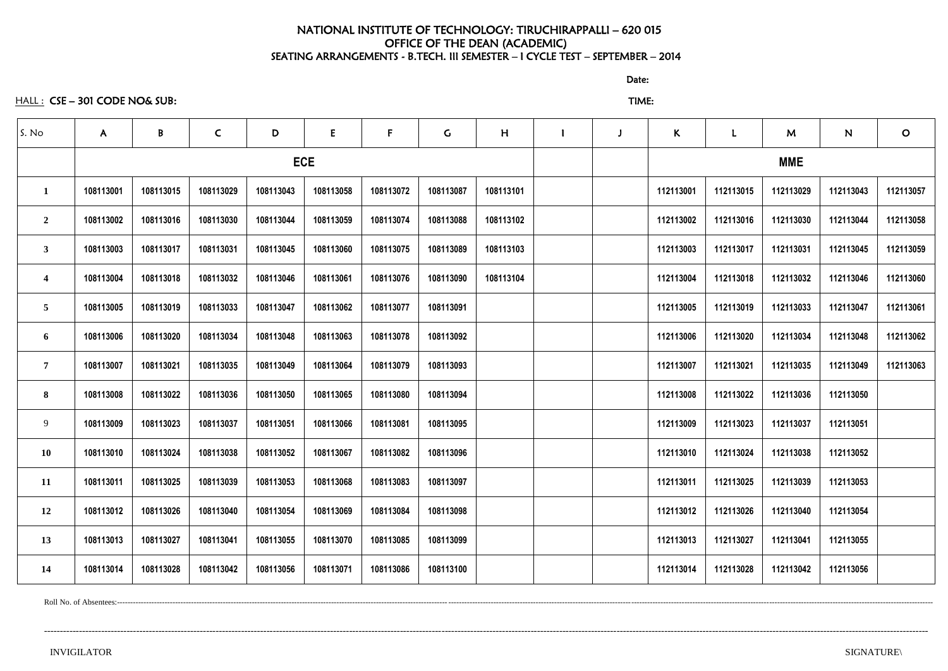### NATIONAL INSTITUTE OF TECHNOLOGY: TIRUCHIRAPPALLI – 620 015 OFFICE OF THE DEAN (ACADEMIC) SEATING ARRANGEMENTS - B.TECH. III SEMESTER – I CYCLE TEST – SEPTEMBER – 2014

HALL : CSE – 301 CODE NO& SUB: TIME:

| S. No                   | $\mathsf{A}$ | B         | $\mathsf{C}$                                                                                                                                                                                                                                                                                                                                                                                                                                                                                                                                                                 | D | E | $\mathsf{F}$ | $\mathsf C$ | H         | J | K         |           | M          | N         | $\mathbf O$ |
|-------------------------|--------------|-----------|------------------------------------------------------------------------------------------------------------------------------------------------------------------------------------------------------------------------------------------------------------------------------------------------------------------------------------------------------------------------------------------------------------------------------------------------------------------------------------------------------------------------------------------------------------------------------|---|---|--------------|-------------|-----------|---|-----------|-----------|------------|-----------|-------------|
|                         |              |           | <b>ECE</b><br>108113029<br>108113043<br>108113058<br>108113030<br>108113044<br>108113059<br>108113031<br>108113045<br>108113060<br>108113032<br>108113046<br>108113061<br>108113033<br>108113047<br>108113062<br>108113034<br>108113048<br>108113063<br>108113035<br>108113049<br>108113064<br>108113065<br>108113036<br>108113050<br>108113037<br>108113051<br>108113066<br>108113038<br>108113052<br>108113067<br>108113039<br>108113053<br>108113068<br>108113054<br>108113069<br>108113040<br>108113041<br>108113055<br>108113070<br>108113056<br>108113071<br>108113042 |   |   |              |             |           |   |           |           | <b>MME</b> |           |             |
| $\mathbf{1}$            | 108113001    | 108113015 |                                                                                                                                                                                                                                                                                                                                                                                                                                                                                                                                                                              |   |   | 108113072    | 108113087   | 108113101 |   | 112113001 | 112113015 | 112113029  | 112113043 | 112113057   |
| $\overline{2}$          | 108113002    | 108113016 |                                                                                                                                                                                                                                                                                                                                                                                                                                                                                                                                                                              |   |   | 108113074    | 108113088   | 108113102 |   | 112113002 | 112113016 | 112113030  | 112113044 | 112113058   |
| $\mathbf{3}$            | 108113003    | 108113017 |                                                                                                                                                                                                                                                                                                                                                                                                                                                                                                                                                                              |   |   | 108113075    | 108113089   | 108113103 |   | 112113003 | 112113017 | 112113031  | 112113045 | 112113059   |
| $\overline{\mathbf{4}}$ | 108113004    | 108113018 |                                                                                                                                                                                                                                                                                                                                                                                                                                                                                                                                                                              |   |   | 108113076    | 108113090   | 108113104 |   | 112113004 | 112113018 | 112113032  | 112113046 | 112113060   |
| 5                       | 108113005    | 108113019 |                                                                                                                                                                                                                                                                                                                                                                                                                                                                                                                                                                              |   |   | 108113077    | 108113091   |           |   | 112113005 | 112113019 | 112113033  | 112113047 | 112113061   |
| 6                       | 108113006    | 108113020 |                                                                                                                                                                                                                                                                                                                                                                                                                                                                                                                                                                              |   |   | 108113078    | 108113092   |           |   | 112113006 | 112113020 | 112113034  | 112113048 | 112113062   |
| $\overline{7}$          | 108113007    | 108113021 |                                                                                                                                                                                                                                                                                                                                                                                                                                                                                                                                                                              |   |   | 108113079    | 108113093   |           |   | 112113007 | 112113021 | 112113035  | 112113049 | 112113063   |
| 8                       | 108113008    | 108113022 |                                                                                                                                                                                                                                                                                                                                                                                                                                                                                                                                                                              |   |   | 108113080    | 108113094   |           |   | 112113008 | 112113022 | 112113036  | 112113050 |             |
| 9                       | 108113009    | 108113023 |                                                                                                                                                                                                                                                                                                                                                                                                                                                                                                                                                                              |   |   | 108113081    | 108113095   |           |   | 112113009 | 112113023 | 112113037  | 112113051 |             |
| <b>10</b>               | 108113010    | 108113024 |                                                                                                                                                                                                                                                                                                                                                                                                                                                                                                                                                                              |   |   | 108113082    | 108113096   |           |   | 112113010 | 112113024 | 112113038  | 112113052 |             |
| 11                      | 108113011    | 108113025 |                                                                                                                                                                                                                                                                                                                                                                                                                                                                                                                                                                              |   |   | 108113083    | 108113097   |           |   | 112113011 | 112113025 | 112113039  | 112113053 |             |
| 12                      | 108113012    | 108113026 |                                                                                                                                                                                                                                                                                                                                                                                                                                                                                                                                                                              |   |   | 108113084    | 108113098   |           |   | 112113012 | 112113026 | 112113040  | 112113054 |             |
| 13                      | 108113013    | 108113027 |                                                                                                                                                                                                                                                                                                                                                                                                                                                                                                                                                                              |   |   | 108113085    | 108113099   |           |   | 112113013 | 112113027 | 112113041  | 112113055 |             |
| 14                      | 108113014    | 108113028 |                                                                                                                                                                                                                                                                                                                                                                                                                                                                                                                                                                              |   |   | 108113086    | 108113100   |           |   | 112113014 | 112113028 | 112113042  | 112113056 |             |

Roll No. of Absentees:--------------------------------------------------------------------------------------------------------------------------------------------------------------------------------------------------------------------------------------------------------------------------------------------------------------------

--------------------------------------------------------------------------------------------------------------------------------------------------------------------------------------------------------------------------------------------------------------------------------------

discussion of the contract of the contract of the Date: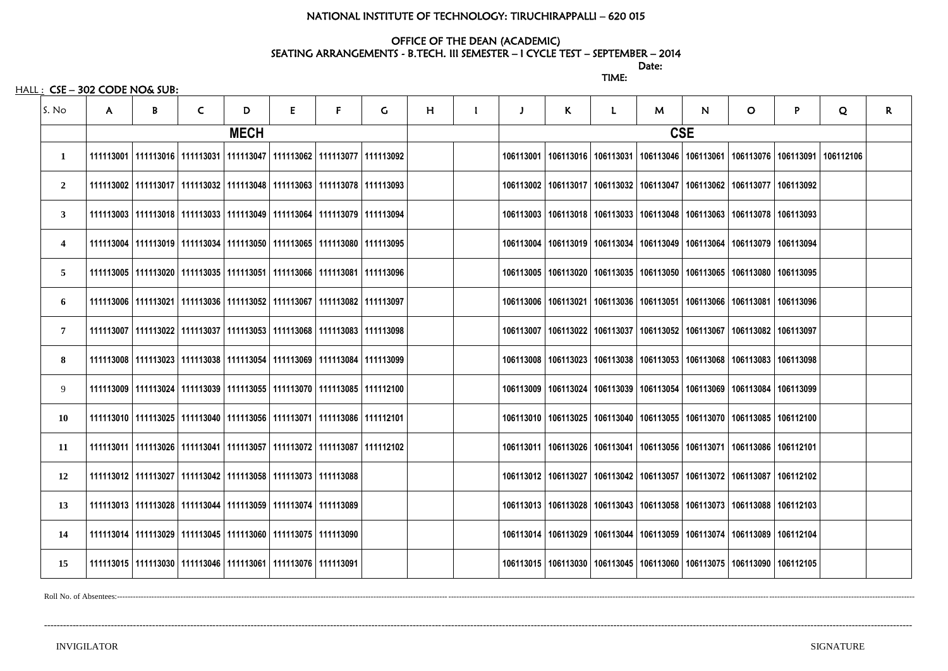### NATIONAL INSTITUTE OF TECHNOLOGY: TIRUCHIRAPPALLI – 620 015

# OFFICE OF THE DEAN (ACADEMIC)

discussion of the contract of the contract of the Date: TIME:

HALL : CSE - 302 CODE NO& SUB:

### SEATING ARRANGEMENTS - B.TECH. III SEMESTER – I CYCLE TEST – SEPTEMBER – 2014

| S. No                   | A | B | $\mathsf{C}$ | D           | E                                                                                 | F | G | H |  | K | L.                                                                                            | M | N.         | O. | P | Q | R. |
|-------------------------|---|---|--------------|-------------|-----------------------------------------------------------------------------------|---|---|---|--|---|-----------------------------------------------------------------------------------------------|---|------------|----|---|---|----|
|                         |   |   |              | <b>MECH</b> |                                                                                   |   |   |   |  |   |                                                                                               |   | <b>CSE</b> |    |   |   |    |
| $\mathbf 1$             |   |   |              |             | 111113001   111113016   111113031   111113047   111113062   111113077   111113092 |   |   |   |  |   | 106113001   106113016   106113031   106113046   106113061   106113076   106113091   106112106 |   |            |    |   |   |    |
| $\overline{2}$          |   |   |              |             | 111113002   111113017   111113032   111113048   111113063   111113078   111113093 |   |   |   |  |   | 106113002   106113017   106113032   106113047   106113062   106113077   106113092             |   |            |    |   |   |    |
| $\mathbf{3}$            |   |   |              |             | 111113003   111113018   111113033   111113049   111113064   111113079   111113094 |   |   |   |  |   | 106113003   106113018   106113033   106113048   106113063   106113078   106113093             |   |            |    |   |   |    |
| $\overline{\mathbf{4}}$ |   |   |              |             | 111113004   111113019   111113034   111113050   111113065   111113080   111113095 |   |   |   |  |   | 106113004   106113019   106113034   106113049   106113064   106113079   106113094             |   |            |    |   |   |    |
| 5                       |   |   |              |             | 111113005   111113020   111113035   111113051   111113066   111113081   111113096 |   |   |   |  |   | 106113005   106113020   106113035   106113050   106113065   106113080   106113095             |   |            |    |   |   |    |
| 6                       |   |   |              |             | 111113006   111113021   111113036   111113052   111113067   111113082   111113097 |   |   |   |  |   | 106113006   106113021   106113036   106113051   106113066   106113081   106113096             |   |            |    |   |   |    |
| $\overline{7}$          |   |   |              |             | 111113007   111113022   111113037   111113053   111113068   111113083   111113098 |   |   |   |  |   | 106113007   106113022   106113037   106113052   106113067   106113082   106113097             |   |            |    |   |   |    |
| 8                       |   |   |              |             | 111113008   111113023   111113038   111113054   111113069   111113084   111113099 |   |   |   |  |   | 106113008   106113023   106113038   106113053   106113068   106113083   106113098             |   |            |    |   |   |    |
| 9                       |   |   |              |             | 111113009   111113024   111113039   111113055   111113070   111113085   111112100 |   |   |   |  |   | 106113009   106113024   106113039   106113054   106113069   106113084   106113099             |   |            |    |   |   |    |
| <b>10</b>               |   |   |              |             | 111113010   111113025   111113040   111113056   111113071   111113086   111112101 |   |   |   |  |   | 106113010   106113025   106113040   106113055   106113070   106113085   106112100             |   |            |    |   |   |    |
| 11                      |   |   |              |             | 111113011   111113026   111113041   111113057   111113072   111113087   111112102 |   |   |   |  |   | 106113011   106113026   106113041   106113056   106113071   106113086   106112101             |   |            |    |   |   |    |
| <b>12</b>               |   |   |              |             | 111113012   111113027   111113042   111113058   111113073   111113088             |   |   |   |  |   | 106113012   106113027   106113042   106113057   106113072   106113087   106112102             |   |            |    |   |   |    |
| 13                      |   |   |              |             | 111113013   111113028   111113044   111113059   111113074   111113089             |   |   |   |  |   | 106113013   106113028   106113043   106113058   106113073   106113088   106112103             |   |            |    |   |   |    |
| 14                      |   |   |              |             | 111113014   111113029   111113045   111113060   111113075   111113090             |   |   |   |  |   | 106113014   106113029   106113044   106113059   106113074   106113089   106112104             |   |            |    |   |   |    |
| 15                      |   |   |              |             | 111113015   111113030   111113046   111113061   111113076   111113091             |   |   |   |  |   | 106113015   106113030   106113045   106113060   106113075   106113090   106112105             |   |            |    |   |   |    |

Roll No. of Absentees:-------------------------------------------------------------------------------------------------------------------------------------------------------------------------------------------------------------------------------------------------------------------------------------------------------------

---------------------------------------------------------------------------------------------------------------------------------------------------------------------------------------------------------------------------------------------------------------------------------

| <b>SIGNATURI</b> |  |
|------------------|--|